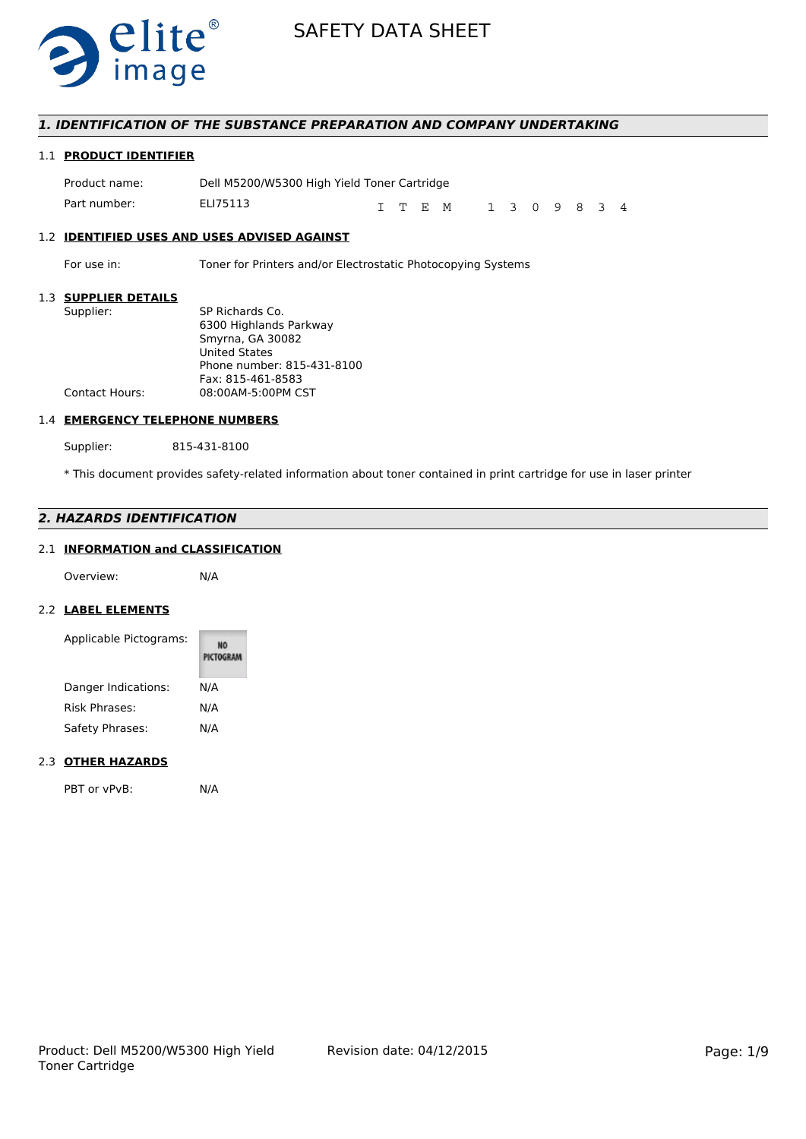

## *1. IDENTIFICATION OF THE SUBSTANCE PREPARATION AND COMPANY UNDERTAKING*

## 1.1 **PRODUCT IDENTIFIER**

| Product name: | Dell M5200/W5300 High Yield Toner Cartridge |  |          |               |  |  |  |
|---------------|---------------------------------------------|--|----------|---------------|--|--|--|
| Part number:  | ELI75113                                    |  | T T F. M | 1 3 0 9 8 3 4 |  |  |  |

## 1.2 **IDENTIFIED USES AND USES ADVISED AGAINST**

For use in: Toner for Printers and/or Electrostatic Photocopying Systems

## 1.3 **SUPPLIER DETAILS**

| 991 I LILI\ PLIAIL9   |                            |
|-----------------------|----------------------------|
| Supplier:             | SP Richards Co.            |
|                       | 6300 Highlands Parkway     |
|                       | Smyrna, GA 30082           |
|                       | <b>United States</b>       |
|                       | Phone number: 815-431-8100 |
|                       | Fax: 815-461-8583          |
| <b>Contact Hours:</b> | 08:00AM-5:00PM CST         |
|                       |                            |

#### 1.4 **EMERGENCY TELEPHONE NUMBERS**

Supplier: 815-431-8100

\* This document provides safety-related information about toner contained in print cartridge for use in laser printer

## *2. HAZARDS IDENTIFICATION*

## 2.1 **INFORMATION and CLASSIFICATION**

Overview: N/A

### 2.2 **LABEL ELEMENTS**

| Applicable Pictograms: | NO<br>PICTOGRAM |
|------------------------|-----------------|
| Danger Indications:    | N/A             |
| <b>Risk Phrases:</b>   | N/A             |
| Safety Phrases:        | N/A             |

#### 2.3 **OTHER HAZARDS**

PBT or vPvB: N/A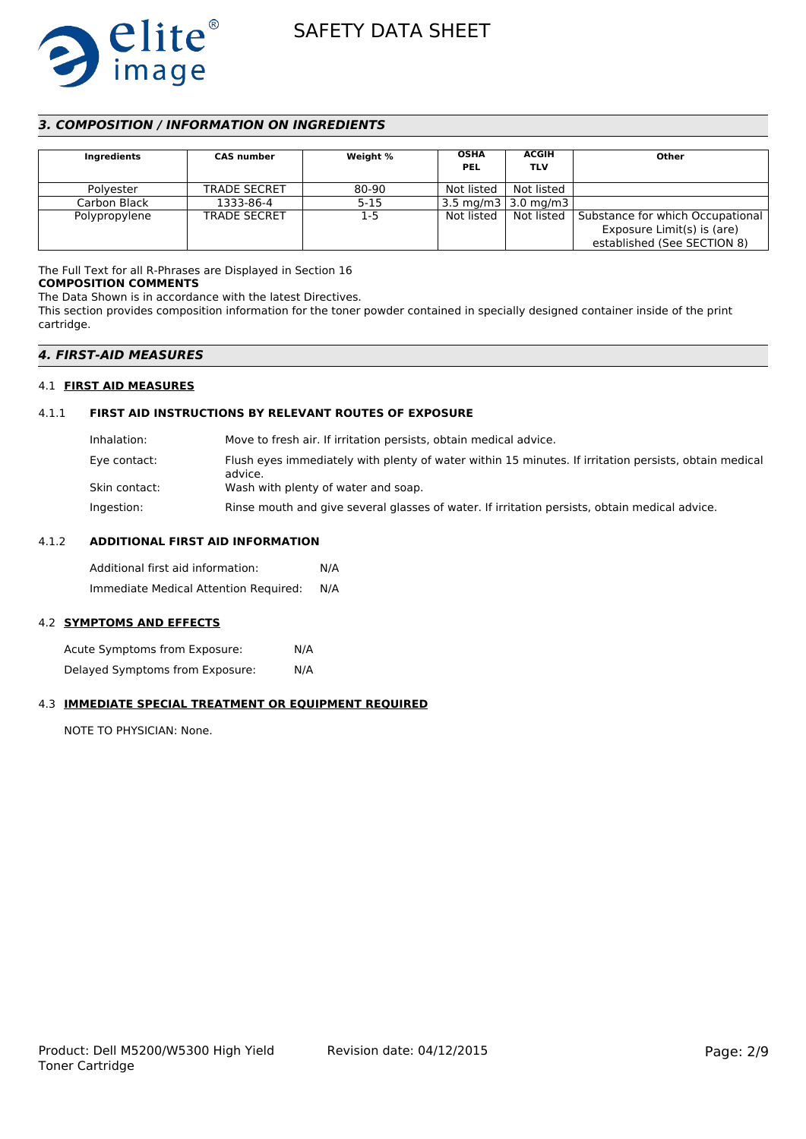

## *3. COMPOSITION / INFORMATION ON INGREDIENTS*

| Ingredients   | <b>CAS</b> number   | Weight % | <b>OSHA</b><br><b>PEL</b> | <b>ACGIH</b><br><b>TLV</b>       | Other                                                                                         |
|---------------|---------------------|----------|---------------------------|----------------------------------|-----------------------------------------------------------------------------------------------|
| Polvester     | <b>TRADE SECRET</b> | 80-90    | Not listed                | Not listed                       |                                                                                               |
| Carbon Black  | 1333-86-4           | $5 - 15$ |                           | $3.5 \text{ mg/m}$ 3   3.0 mg/m3 |                                                                                               |
| Polypropylene | <b>TRADE SECRET</b> | $1-5$    | Not listed                | Not listed                       | Substance for which Occupational<br>Exposure Limit(s) is (are)<br>established (See SECTION 8) |

## The Full Text for all R-Phrases are Displayed in Section 16

**COMPOSITION COMMENTS** The Data Shown is in accordance with the latest Directives.

This section provides composition information for the toner powder contained in specially designed container inside of the print cartridge.

### *4. FIRST-AID MEASURES*

#### 4.1 **FIRST AID MEASURES**

### 4.1.1 **FIRST AID INSTRUCTIONS BY RELEVANT ROUTES OF EXPOSURE**

| Inhalation:   | Move to fresh air. If irritation persists, obtain medical advice.                                                |
|---------------|------------------------------------------------------------------------------------------------------------------|
| Eye contact:  | Flush eyes immediately with plenty of water within 15 minutes. If irritation persists, obtain medical<br>advice. |
| Skin contact: | Wash with plenty of water and soap.                                                                              |
| Ingestion:    | Rinse mouth and give several glasses of water. If irritation persists, obtain medical advice.                    |

### 4.1.2 **ADDITIONAL FIRST AID INFORMATION**

Additional first aid information: N/A Immediate Medical Attention Required: N/A

#### 4.2 **SYMPTOMS AND EFFECTS**

Acute Symptoms from Exposure: N/A Delayed Symptoms from Exposure: N/A

## 4.3 **IMMEDIATE SPECIAL TREATMENT OR EQUIPMENT REQUIRED**

NOTE TO PHYSICIAN: None.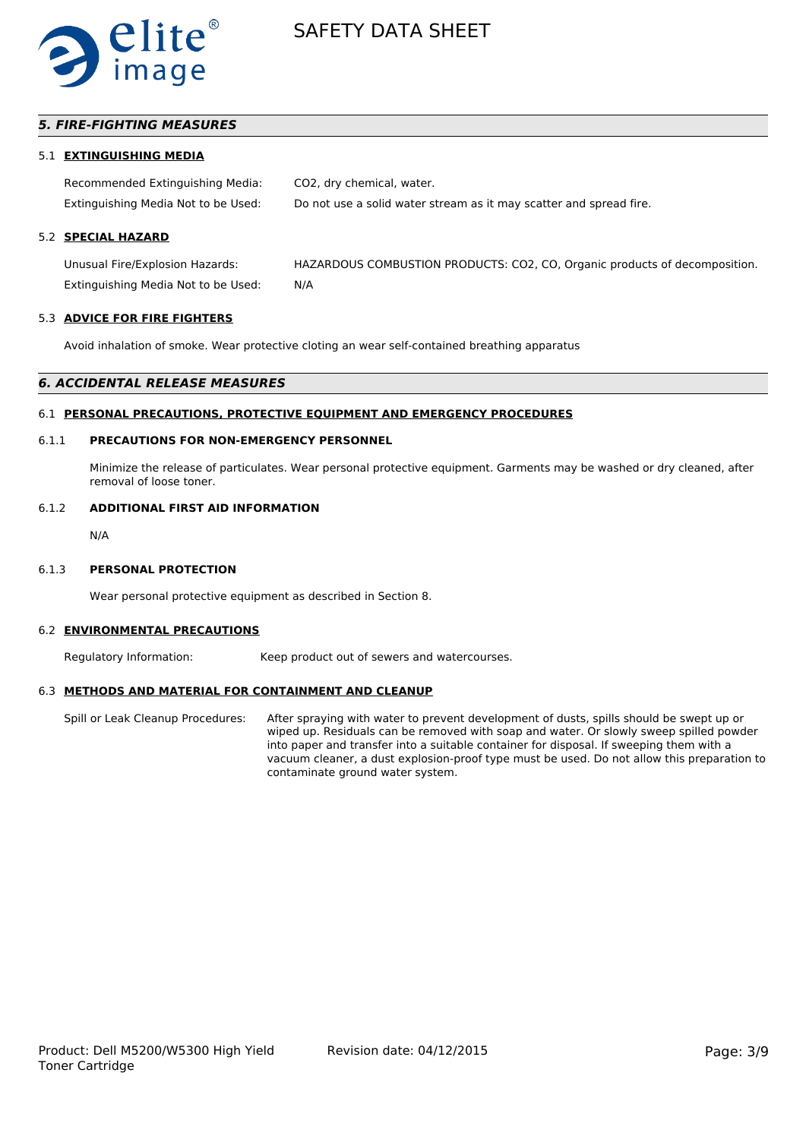

## *5. FIRE-FIGHTING MEASURES*

#### 5.1 **EXTINGUISHING MEDIA**

Recommended Extinguishing Media: CO2, dry chemical, water. Extinguishing Media Not to be Used: Do not use a solid water stream as it may scatter and spread fire.

## 5.2 **SPECIAL HAZARD**

Unusual Fire/Explosion Hazards: HAZARDOUS COMBUSTION PRODUCTS: CO2, CO, Organic products of decomposition. Extinguishing Media Not to be Used: N/A

#### 5.3 **ADVICE FOR FIRE FIGHTERS**

Avoid inhalation of smoke. Wear protective cloting an wear self-contained breathing apparatus

#### *6. ACCIDENTAL RELEASE MEASURES*

#### 6.1 **PERSONAL PRECAUTIONS, PROTECTIVE EQUIPMENT AND EMERGENCY PROCEDURES**

#### 6.1.1 **PRECAUTIONS FOR NON-EMERGENCY PERSONNEL**

Minimize the release of particulates. Wear personal protective equipment. Garments may be washed or dry cleaned, after removal of loose toner.

#### 6.1.2 **ADDITIONAL FIRST AID INFORMATION**

N/A

#### 6.1.3 **PERSONAL PROTECTION**

Wear personal protective equipment as described in Section 8.

#### 6.2 **ENVIRONMENTAL PRECAUTIONS**

Regulatory Information: Keep product out of sewers and watercourses.

#### 6.3 **METHODS AND MATERIAL FOR CONTAINMENT AND CLEANUP**

Spill or Leak Cleanup Procedures: After spraying with water to prevent development of dusts, spills should be swept up or wiped up. Residuals can be removed with soap and water. Or slowly sweep spilled powder into paper and transfer into a suitable container for disposal. If sweeping them with a vacuum cleaner, a dust explosion-proof type must be used. Do not allow this preparation to contaminate ground water system.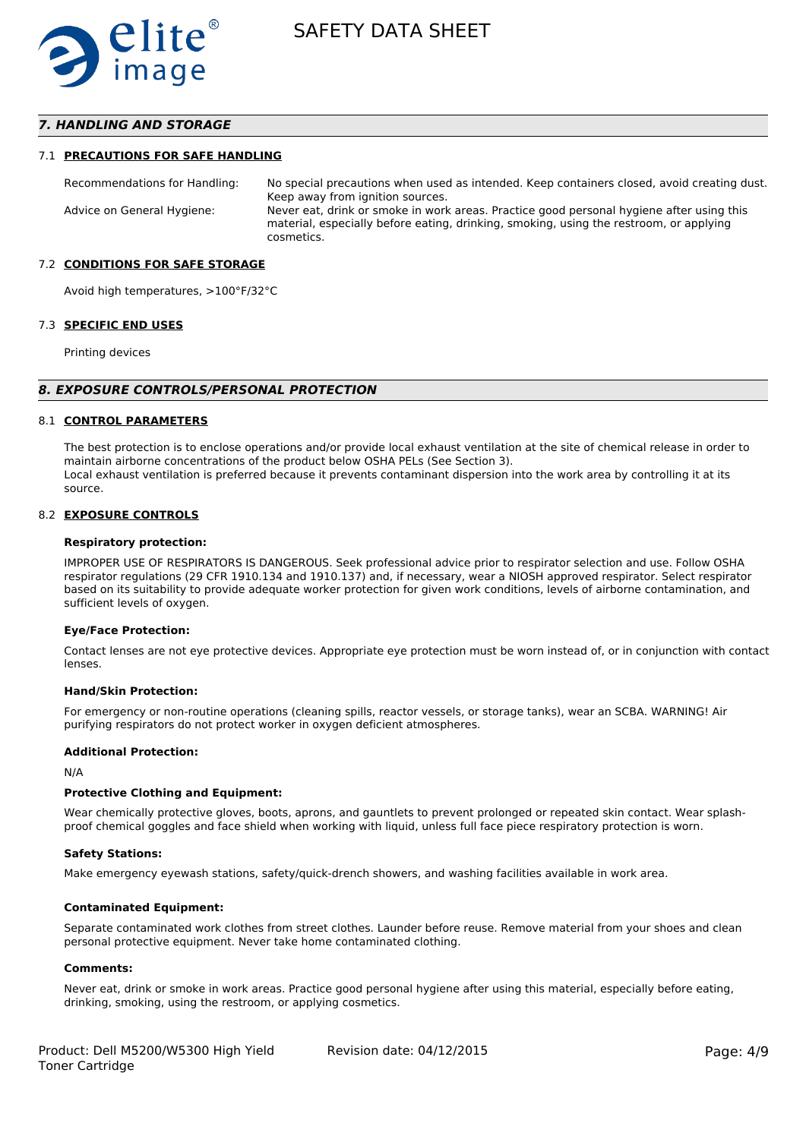

## *7. HANDLING AND STORAGE*

#### 7.1 **PRECAUTIONS FOR SAFE HANDLING**

Recommendations for Handling: No special precautions when used as intended. Keep containers closed, avoid creating dust. Keep away from ignition sources. Advice on General Hygiene: Never eat, drink or smoke in work areas. Practice good personal hygiene after using this material, especially before eating, drinking, smoking, using the restroom, or applying cosmetics.

#### 7.2 **CONDITIONS FOR SAFE STORAGE**

Avoid high temperatures, >100°F/32°C

#### 7.3 **SPECIFIC END USES**

Printing devices

#### *8. EXPOSURE CONTROLS/PERSONAL PROTECTION*

#### 8.1 **CONTROL PARAMETERS**

The best protection is to enclose operations and/or provide local exhaust ventilation at the site of chemical release in order to maintain airborne concentrations of the product below OSHA PELs (See Section 3). Local exhaust ventilation is preferred because it prevents contaminant dispersion into the work area by controlling it at its source.

#### 8.2 **EXPOSURE CONTROLS**

#### **Respiratory protection:**

IMPROPER USE OF RESPIRATORS IS DANGEROUS. Seek professional advice prior to respirator selection and use. Follow OSHA respirator regulations (29 CFR 1910.134 and 1910.137) and, if necessary, wear a NIOSH approved respirator. Select respirator based on its suitability to provide adequate worker protection for given work conditions, levels of airborne contamination, and sufficient levels of oxygen.

#### **Eye/Face Protection:**

Contact lenses are not eye protective devices. Appropriate eye protection must be worn instead of, or in conjunction with contact lenses.

#### **Hand/Skin Protection:**

For emergency or non-routine operations (cleaning spills, reactor vessels, or storage tanks), wear an SCBA. WARNING! Air purifying respirators do not protect worker in oxygen deficient atmospheres.

#### **Additional Protection:**

N/A

#### **Protective Clothing and Equipment:**

Wear chemically protective gloves, boots, aprons, and gauntlets to prevent prolonged or repeated skin contact. Wear splashproof chemical goggles and face shield when working with liquid, unless full face piece respiratory protection is worn.

#### **Safety Stations:**

Make emergency eyewash stations, safety/quick-drench showers, and washing facilities available in work area.

#### **Contaminated Equipment:**

Separate contaminated work clothes from street clothes. Launder before reuse. Remove material from your shoes and clean personal protective equipment. Never take home contaminated clothing.

#### **Comments:**

Never eat, drink or smoke in work areas. Practice good personal hygiene after using this material, especially before eating, drinking, smoking, using the restroom, or applying cosmetics.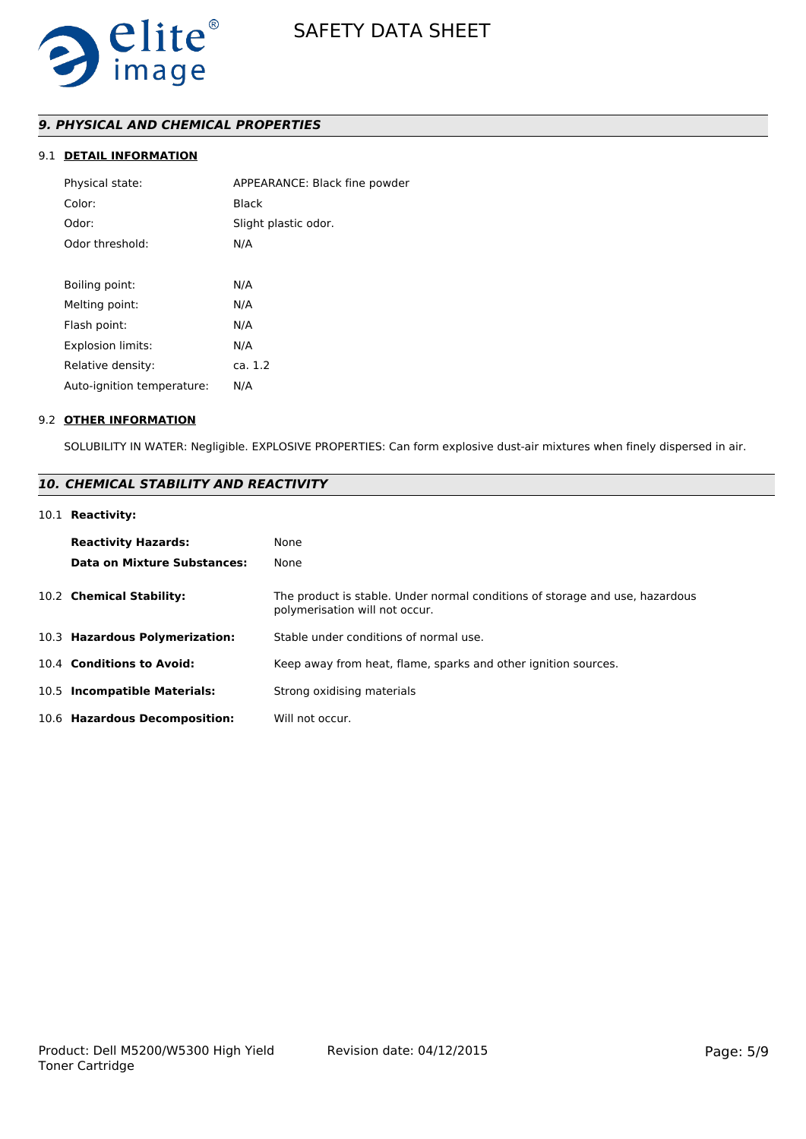

## *9. PHYSICAL AND CHEMICAL PROPERTIES*

## 9.1 **DETAIL INFORMATION**

| APPEARANCE: Black fine powder |
|-------------------------------|
| <b>Black</b>                  |
| Slight plastic odor.          |
| N/A                           |
|                               |
| N/A                           |
| N/A                           |
| N/A                           |
| N/A                           |
| ca. 1.2                       |
| N/A                           |
|                               |

#### 9.2 **OTHER INFORMATION**

SOLUBILITY IN WATER: Negligible. EXPLOSIVE PROPERTIES: Can form explosive dust-air mixtures when finely dispersed in air.

## *10. CHEMICAL STABILITY AND REACTIVITY*

## 10.1 **Reactivity:**

| <b>Reactivity Hazards:</b><br>Data on Mixture Substances: | None<br>None                                                                                                   |
|-----------------------------------------------------------|----------------------------------------------------------------------------------------------------------------|
| 10.2 Chemical Stability:                                  | The product is stable. Under normal conditions of storage and use, hazardous<br>polymerisation will not occur. |
| 10.3 Hazardous Polymerization:                            | Stable under conditions of normal use.                                                                         |
| 10.4 Conditions to Avoid:                                 | Keep away from heat, flame, sparks and other ignition sources.                                                 |
| 10.5 Incompatible Materials:                              | Strong oxidising materials                                                                                     |
| 10.6 Hazardous Decomposition:                             | Will not occur.                                                                                                |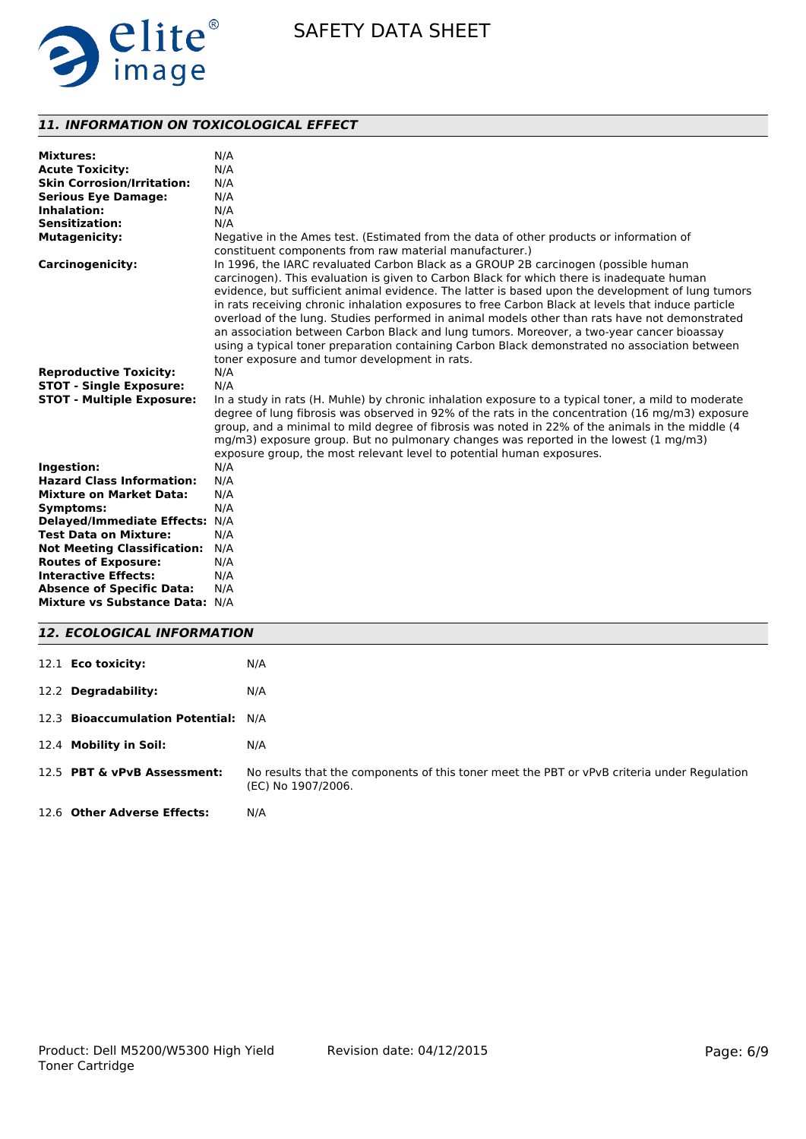

## *11. INFORMATION ON TOXICOLOGICAL EFFECT*

| <b>Mixtures:</b>                   | N/A                                                                                                                                                                                                                                                                                                                                                                                                                                                                                                                                                                                                                                                                                                                                         |
|------------------------------------|---------------------------------------------------------------------------------------------------------------------------------------------------------------------------------------------------------------------------------------------------------------------------------------------------------------------------------------------------------------------------------------------------------------------------------------------------------------------------------------------------------------------------------------------------------------------------------------------------------------------------------------------------------------------------------------------------------------------------------------------|
| <b>Acute Toxicity:</b>             | N/A                                                                                                                                                                                                                                                                                                                                                                                                                                                                                                                                                                                                                                                                                                                                         |
| <b>Skin Corrosion/Irritation:</b>  | N/A                                                                                                                                                                                                                                                                                                                                                                                                                                                                                                                                                                                                                                                                                                                                         |
| <b>Serious Eye Damage:</b>         | N/A                                                                                                                                                                                                                                                                                                                                                                                                                                                                                                                                                                                                                                                                                                                                         |
| Inhalation:                        | N/A                                                                                                                                                                                                                                                                                                                                                                                                                                                                                                                                                                                                                                                                                                                                         |
| Sensitization:                     | N/A                                                                                                                                                                                                                                                                                                                                                                                                                                                                                                                                                                                                                                                                                                                                         |
| <b>Mutagenicity:</b>               | Negative in the Ames test. (Estimated from the data of other products or information of<br>constituent components from raw material manufacturer.)                                                                                                                                                                                                                                                                                                                                                                                                                                                                                                                                                                                          |
| <b>Carcinogenicity:</b>            | In 1996, the IARC revaluated Carbon Black as a GROUP 2B carcinogen (possible human<br>carcinogen). This evaluation is given to Carbon Black for which there is inadequate human<br>evidence, but sufficient animal evidence. The latter is based upon the development of lung tumors<br>in rats receiving chronic inhalation exposures to free Carbon Black at levels that induce particle<br>overload of the lung. Studies performed in animal models other than rats have not demonstrated<br>an association between Carbon Black and lung tumors. Moreover, a two-year cancer bioassay<br>using a typical toner preparation containing Carbon Black demonstrated no association between<br>toner exposure and tumor development in rats. |
| <b>Reproductive Toxicity:</b>      | N/A                                                                                                                                                                                                                                                                                                                                                                                                                                                                                                                                                                                                                                                                                                                                         |
| <b>STOT - Single Exposure:</b>     | N/A                                                                                                                                                                                                                                                                                                                                                                                                                                                                                                                                                                                                                                                                                                                                         |
| <b>STOT - Multiple Exposure:</b>   | In a study in rats (H. Muhle) by chronic inhalation exposure to a typical toner, a mild to moderate<br>degree of lung fibrosis was observed in 92% of the rats in the concentration (16 mg/m3) exposure<br>group, and a minimal to mild degree of fibrosis was noted in 22% of the animals in the middle (4<br>mg/m3) exposure group. But no pulmonary changes was reported in the lowest (1 mg/m3)<br>exposure group, the most relevant level to potential human exposures.                                                                                                                                                                                                                                                                |
| Ingestion:                         | N/A                                                                                                                                                                                                                                                                                                                                                                                                                                                                                                                                                                                                                                                                                                                                         |
| <b>Hazard Class Information:</b>   | N/A                                                                                                                                                                                                                                                                                                                                                                                                                                                                                                                                                                                                                                                                                                                                         |
| <b>Mixture on Market Data:</b>     | N/A                                                                                                                                                                                                                                                                                                                                                                                                                                                                                                                                                                                                                                                                                                                                         |
| Symptoms:                          | N/A                                                                                                                                                                                                                                                                                                                                                                                                                                                                                                                                                                                                                                                                                                                                         |
| Delayed/Immediate Effects: N/A     |                                                                                                                                                                                                                                                                                                                                                                                                                                                                                                                                                                                                                                                                                                                                             |
| <b>Test Data on Mixture:</b>       | N/A                                                                                                                                                                                                                                                                                                                                                                                                                                                                                                                                                                                                                                                                                                                                         |
| <b>Not Meeting Classification:</b> | N/A                                                                                                                                                                                                                                                                                                                                                                                                                                                                                                                                                                                                                                                                                                                                         |
| <b>Routes of Exposure:</b>         | N/A                                                                                                                                                                                                                                                                                                                                                                                                                                                                                                                                                                                                                                                                                                                                         |
| <b>Interactive Effects:</b>        | N/A                                                                                                                                                                                                                                                                                                                                                                                                                                                                                                                                                                                                                                                                                                                                         |
| <b>Absence of Specific Data:</b>   | N/A                                                                                                                                                                                                                                                                                                                                                                                                                                                                                                                                                                                                                                                                                                                                         |
| Mixture vs Substance Data: N/A     |                                                                                                                                                                                                                                                                                                                                                                                                                                                                                                                                                                                                                                                                                                                                             |

| <b>12. ECOLOGICAL INFORMATION</b>   |                                                                                                                   |  |  |
|-------------------------------------|-------------------------------------------------------------------------------------------------------------------|--|--|
| 12.1 <b>Eco toxicity:</b>           | N/A                                                                                                               |  |  |
| 12.2 Degradability:                 | N/A                                                                                                               |  |  |
| 12.3 Bioaccumulation Potential: N/A |                                                                                                                   |  |  |
| 12.4 Mobility in Soil:              | N/A                                                                                                               |  |  |
| 12.5 PBT & vPvB Assessment:         | No results that the components of this toner meet the PBT or vPvB criteria under Regulation<br>(EC) No 1907/2006. |  |  |
| 12.6 Other Adverse Effects:         | N/A                                                                                                               |  |  |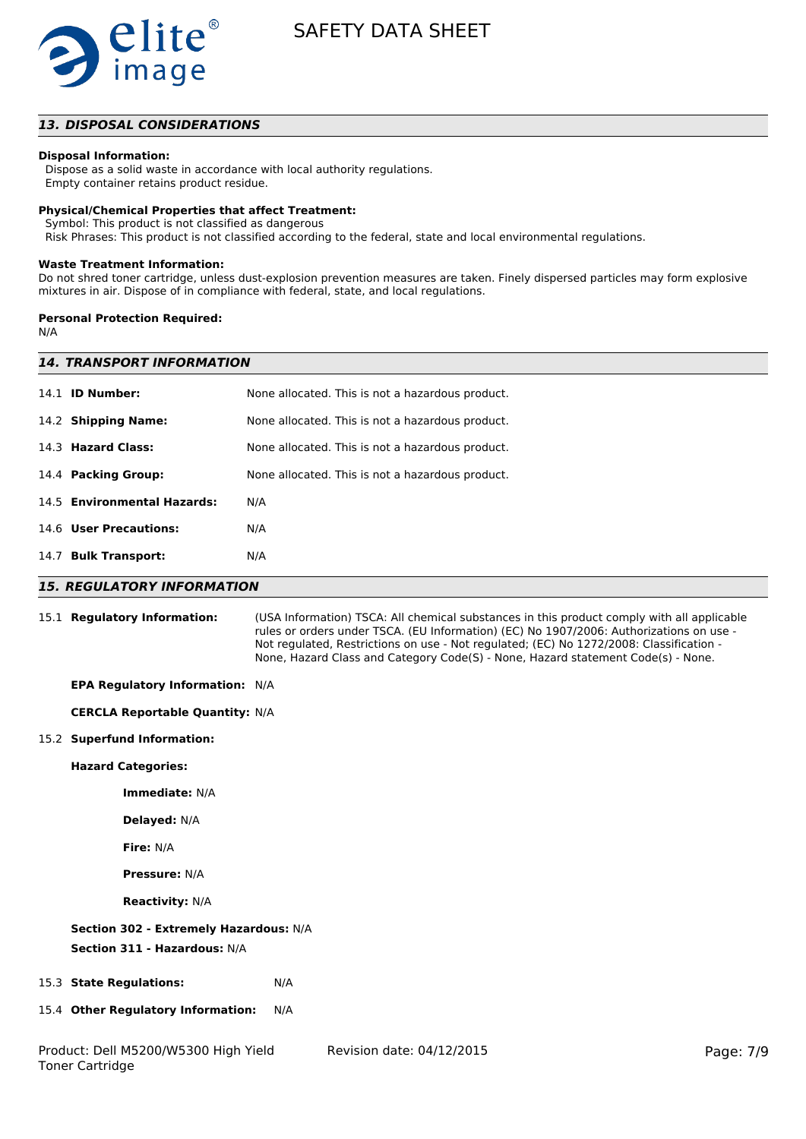

## *13. DISPOSAL CONSIDERATIONS*

### **Disposal Information:**

 Dispose as a solid waste in accordance with local authority regulations. Empty container retains product residue.

#### **Physical/Chemical Properties that affect Treatment:**

Symbol: This product is not classified as dangerous

Risk Phrases: This product is not classified according to the federal, state and local environmental regulations.

#### **Waste Treatment Information:**

Do not shred toner cartridge, unless dust-explosion prevention measures are taken. Finely dispersed particles may form explosive mixtures in air. Dispose of in compliance with federal, state, and local regulations.

#### **Personal Protection Required:**

N/A

|      | <b>14. TRANSPORT INFORMATION</b> |                                                  |  |  |
|------|----------------------------------|--------------------------------------------------|--|--|
|      | 14.1 <b>ID Number:</b>           | None allocated. This is not a hazardous product. |  |  |
|      | 14.2 Shipping Name:              | None allocated. This is not a hazardous product. |  |  |
|      | 14.3 Hazard Class:               | None allocated. This is not a hazardous product. |  |  |
|      | 14.4 Packing Group:              | None allocated. This is not a hazardous product. |  |  |
|      | 14.5 Environmental Hazards:      | N/A                                              |  |  |
|      | 14.6 User Precautions:           | N/A                                              |  |  |
| 14.7 | <b>Bulk Transport:</b>           | N/A                                              |  |  |
|      |                                  |                                                  |  |  |

#### *15. REGULATORY INFORMATION*

Toner Cartridge

| 15.1 Regulatory Information:           |     | (USA Information) TSCA: All chemical substances in this product comply with all applicable<br>rules or orders under TSCA. (EU Information) (EC) No 1907/2006: Authorizations on use -<br>Not regulated, Restrictions on use - Not regulated; (EC) No 1272/2008: Classification -<br>None, Hazard Class and Category Code(S) - None, Hazard statement Code(s) - None. |           |
|----------------------------------------|-----|----------------------------------------------------------------------------------------------------------------------------------------------------------------------------------------------------------------------------------------------------------------------------------------------------------------------------------------------------------------------|-----------|
| EPA Regulatory Information: N/A        |     |                                                                                                                                                                                                                                                                                                                                                                      |           |
| <b>CERCLA Reportable Quantity: N/A</b> |     |                                                                                                                                                                                                                                                                                                                                                                      |           |
| 15.2 Superfund Information:            |     |                                                                                                                                                                                                                                                                                                                                                                      |           |
| <b>Hazard Categories:</b>              |     |                                                                                                                                                                                                                                                                                                                                                                      |           |
| Immediate: N/A                         |     |                                                                                                                                                                                                                                                                                                                                                                      |           |
| <b>Delayed: N/A</b>                    |     |                                                                                                                                                                                                                                                                                                                                                                      |           |
| Fire: N/A                              |     |                                                                                                                                                                                                                                                                                                                                                                      |           |
| <b>Pressure: N/A</b>                   |     |                                                                                                                                                                                                                                                                                                                                                                      |           |
| <b>Reactivity: N/A</b>                 |     |                                                                                                                                                                                                                                                                                                                                                                      |           |
| Section 302 - Extremely Hazardous: N/A |     |                                                                                                                                                                                                                                                                                                                                                                      |           |
| Section 311 - Hazardous: N/A           |     |                                                                                                                                                                                                                                                                                                                                                                      |           |
| 15.3 State Regulations:                | N/A |                                                                                                                                                                                                                                                                                                                                                                      |           |
| 15.4 Other Regulatory Information:     | N/A |                                                                                                                                                                                                                                                                                                                                                                      |           |
| Product: Dell M5200/W5300 High Yield   |     | Revision date: 04/12/2015                                                                                                                                                                                                                                                                                                                                            | Page: 7/9 |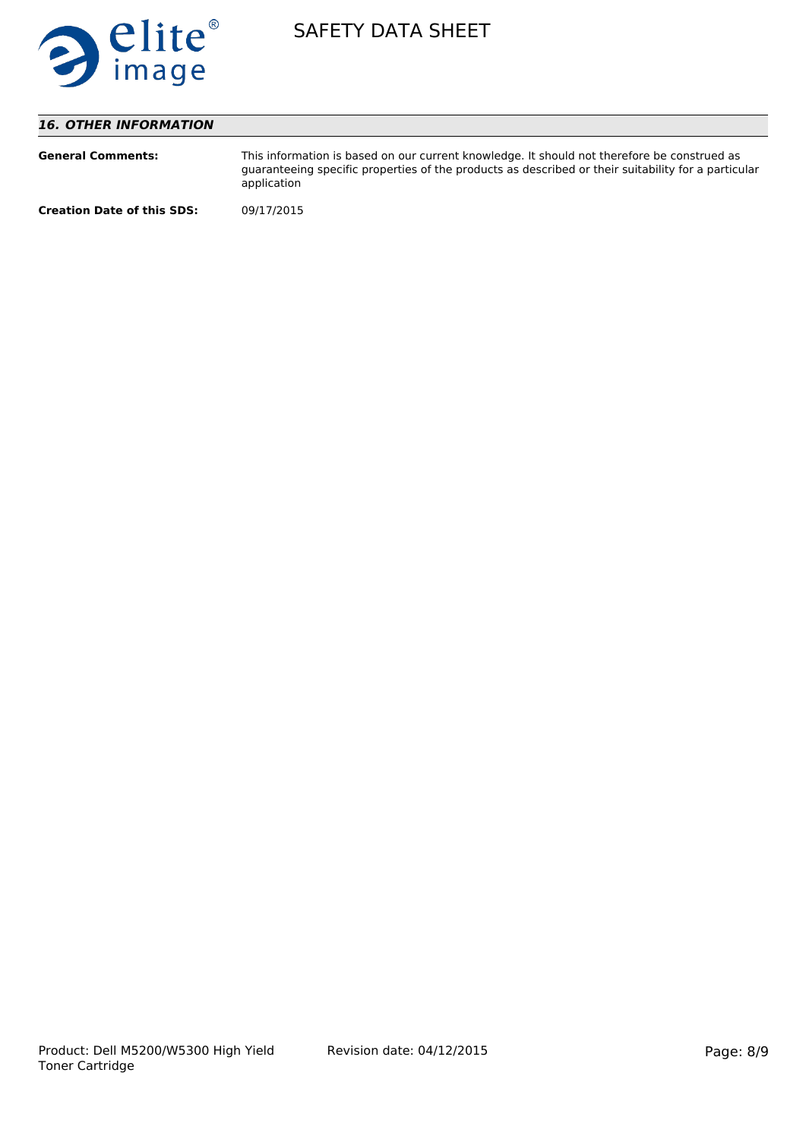

## *16. OTHER INFORMATION*

| <b>General Comments:</b>          | This information is based on our current knowledge. It should not therefore be construed as<br>quaranteeing specific properties of the products as described or their suitability for a particular<br>application |
|-----------------------------------|-------------------------------------------------------------------------------------------------------------------------------------------------------------------------------------------------------------------|
| <b>Creation Date of this SDS:</b> | 09/17/2015                                                                                                                                                                                                        |